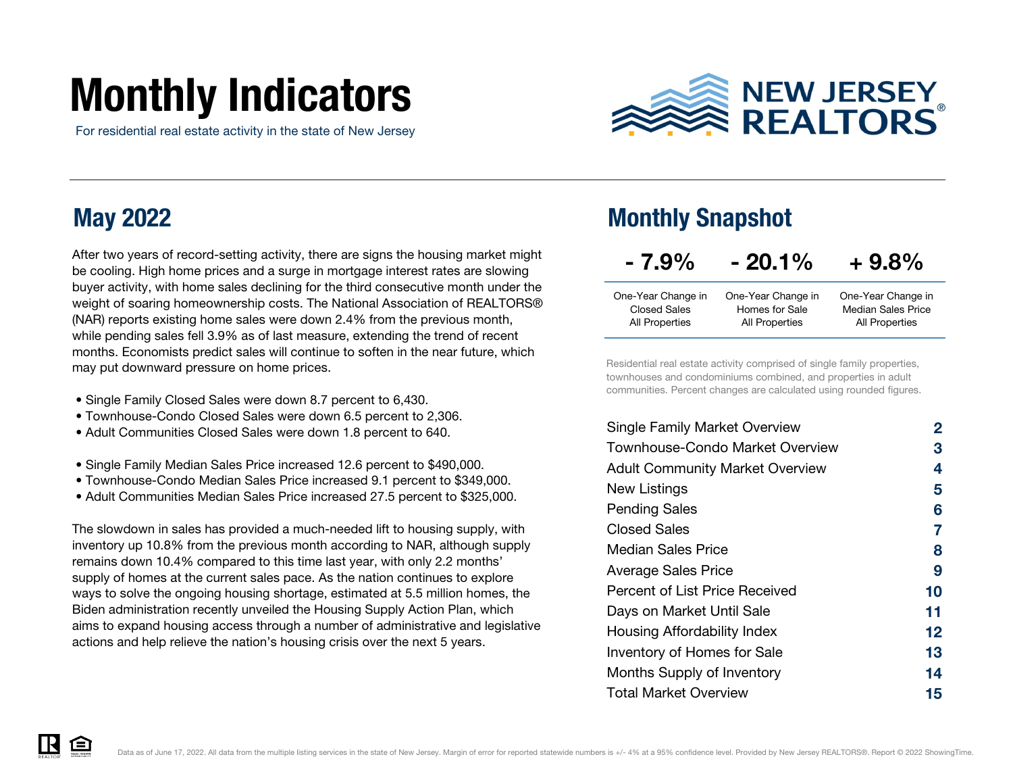# Monthly Indicators

For residential real estate activity in the state of New Jersey



### May 2022

After two years of record-setting activity, there are signs the housing market might be cooling. High home prices and a surge in mortgage interest rates are slowing buyer activity, with home sales declining for the third consecutive month under the weight of soaring homeownership costs. The National Association of REALTORS® (NAR) reports existing home sales were down 2.4% from the previous month, while pending sales fell 3.9% as of last measure, extending the trend of recent months. Economists predict sales will continue to soften in the near future, which may put downward pressure on home prices.

- Single Family Closed Sales were down 8.7 percent to 6,430.
- Townhouse-Condo Closed Sales were down 6.5 percent to 2,306.
- Adult Communities Closed Sales were down 1.8 percent to 640.
- Single Family Median Sales Price increased 12.6 percent to \$490,000.
- Townhouse-Condo Median Sales Price increased 9.1 percent to \$349,000.
- Adult Communities Median Sales Price increased 27.5 percent to \$325,000.

The slowdown in sales has provided a much-needed lift to housing supply, with inventory up 10.8% from the previous month according to NAR, although supply remains down 10.4% compared to this time last year, with only 2.2 months' supply of homes at the current sales pace. As the nation continues to explore ways to solve the ongoing housing shortage, estimated at 5.5 million homes, the Biden administration recently unveiled the Housing Supply Action Plan, which aims to expand housing access through a number of administrative and legislative actions and help relieve the nation's housing crisis over the next 5 years.

### Monthly Snapshot

| $-7.9\%$            | $-20.1%$           | $+9.8%$                   |
|---------------------|--------------------|---------------------------|
| One-Year Change in  | One-Year Change in | One-Year Change in        |
| <b>Closed Sales</b> | Homes for Sale     | <b>Median Sales Price</b> |
| All Properties      | All Properties     | <b>All Properties</b>     |

Residential real estate activity comprised of single family properties, townhouses and condominiums combined, and properties in adult communities. Percent changes are calculated using rounded figures.

| <b>Single Family Market Overview</b>   | 2  |
|----------------------------------------|----|
| Townhouse-Condo Market Overview        | З  |
| <b>Adult Community Market Overview</b> | 4  |
| New Listings                           | 5  |
| <b>Pending Sales</b>                   | 6  |
| Closed Sales                           | 7  |
| Median Sales Price                     | 8  |
| <b>Average Sales Price</b>             | 9  |
| Percent of List Price Received         | 10 |
| Days on Market Until Sale              | 11 |
| Housing Affordability Index            | 12 |
| <b>Inventory of Homes for Sale</b>     | 13 |
| Months Supply of Inventory             | 14 |
| <b>Total Market Overview</b>           | 15 |

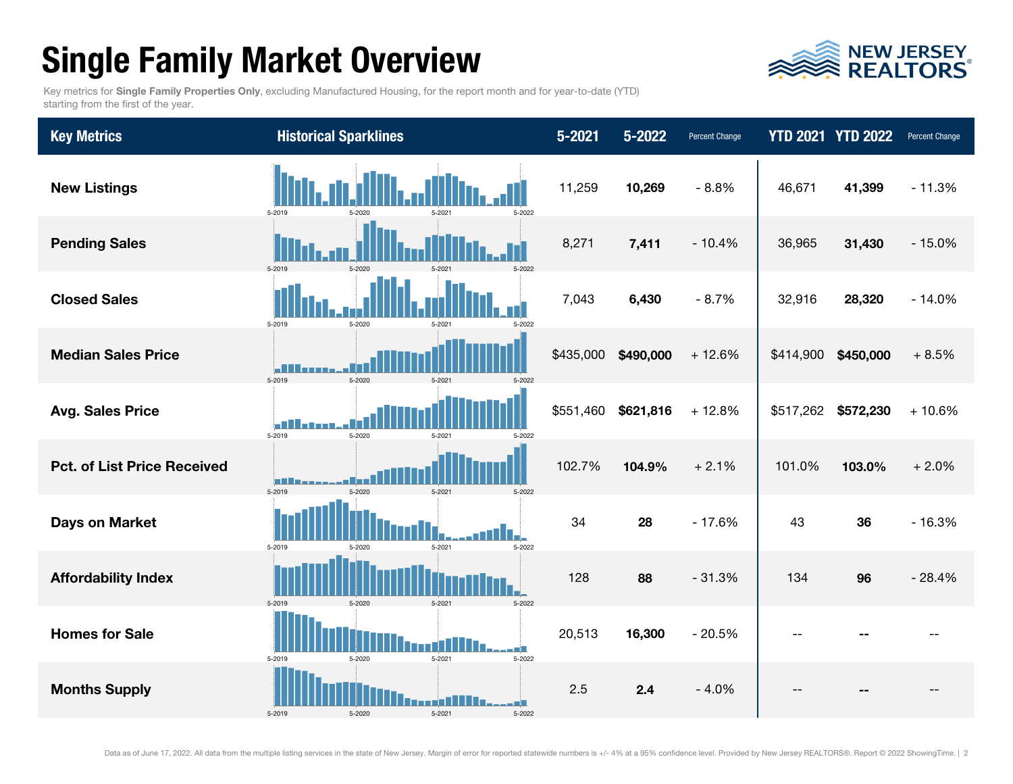### Single Family Market Overview



Key metrics for Single Family Properties Only, excluding Manufactured Housing, for the report month and for year-to-date (YTD) starting from the first of the year.

| <b>Key Metrics</b>                 | <b>Historical Sparklines</b>                  | $5 - 2021$ | 5-2022    | Percent Change |           | <b>YTD 2021 YTD 2022</b> | Percent Change |
|------------------------------------|-----------------------------------------------|------------|-----------|----------------|-----------|--------------------------|----------------|
| <b>New Listings</b>                | 5-2019<br>5-2022                              | 11,259     | 10,269    | $-8.8%$        | 46,671    | 41,399                   | $-11.3%$       |
| <b>Pending Sales</b>               | 5-2019<br>5-2020<br>$5 - 202$                 | 8,271      | 7,411     | $-10.4%$       | 36,965    | 31,430                   | $-15.0%$       |
| <b>Closed Sales</b>                | 5-2019<br>5-2020<br>5-2022<br>5.202           | 7,043      | 6,430     | $-8.7%$        | 32,916    | 28,320                   | $-14.0%$       |
| <b>Median Sales Price</b>          | 5-2019<br>$5 - 2020$<br>$5 - 202$             | \$435,000  | \$490,000 | $+12.6%$       | \$414,900 | \$450,000                | $+8.5%$        |
| <b>Avg. Sales Price</b>            | h۸<br>5-2019<br>5-2020<br>5-2021<br>5-2023    | \$551,460  | \$621,816 | $+12.8%$       | \$517,262 | \$572,230                | $+10.6%$       |
| <b>Pct. of List Price Received</b> | ⊓<br>5-2019<br>5-2020<br>5.202<br>5-2023      | 102.7%     | 104.9%    | $+2.1%$        | 101.0%    | 103.0%                   | $+2.0%$        |
| <b>Days on Market</b>              | 5-2019<br>5-2021<br>5-2022<br>5-2020          | 34         | 28        | $-17.6%$       | 43        | 36                       | $-16.3%$       |
| <b>Affordability Index</b>         | 5-2019<br>5-2020<br>5-2021<br>5-2022          | 128        | 88        | $-31.3%$       | 134       | 96                       | $-28.4%$       |
| <b>Homes for Sale</b>              | 5-2019<br>5-2020<br>5-2021<br>5-2022          | 20,513     | 16,300    | $-20.5%$       |           |                          |                |
| <b>Months Supply</b>               | n i B<br>5-2019<br>5-2020<br>5-2021<br>5-2022 | 2.5        | 2.4       | $-4.0%$        |           |                          |                |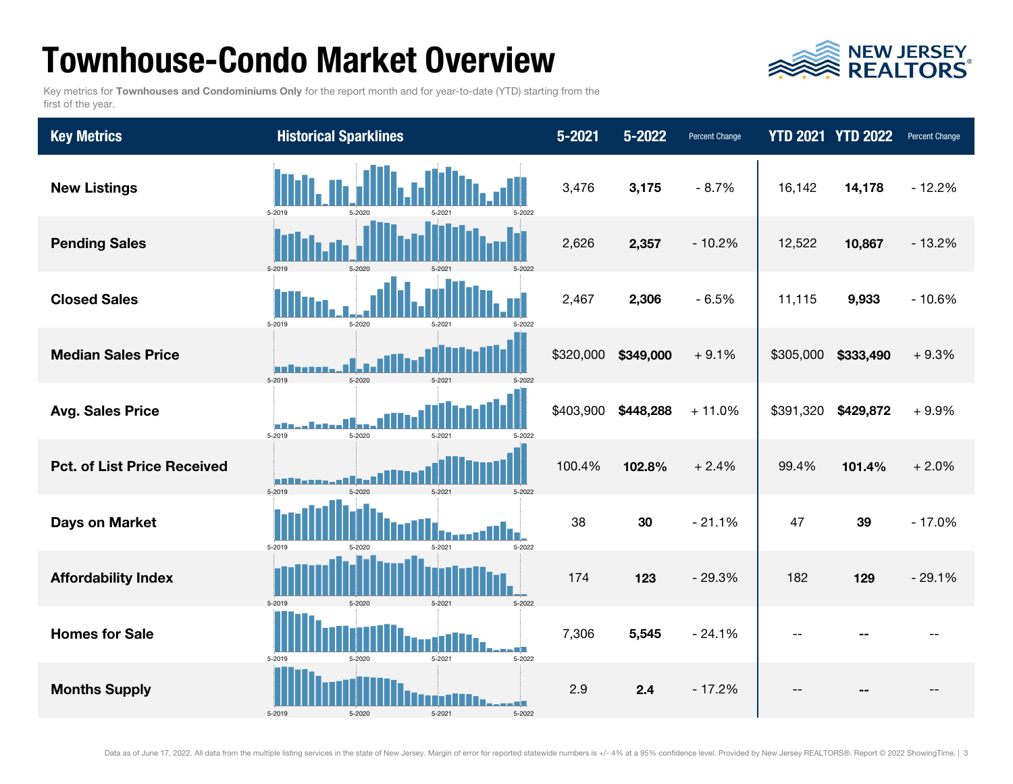### Townhouse-Condo Market Overview



Key metrics for Townhouses and Condominiums Only for the report month and for year-to-date (YTD) starting from the first of the year.

| <b>Key Metrics</b>                 | <b>Historical Sparklines</b>                 | $5 - 2021$ | 5-2022    | Percent Change |           | <b>YTD 2021 YTD 2022</b> | <b>Percent Change</b> |
|------------------------------------|----------------------------------------------|------------|-----------|----------------|-----------|--------------------------|-----------------------|
| <b>New Listings</b>                | 5-2019<br>5-2022<br>5-2020                   | 3,476      | 3,175     | $-8.7%$        | 16,142    | 14,178                   | $-12.2%$              |
| <b>Pending Sales</b>               | 5-2019<br>5-2020<br>5-2022<br>$5 - 202$      | 2,626      | 2,357     | $-10.2%$       | 12,522    | 10,867                   | $-13.2%$              |
| <b>Closed Sales</b>                | 5-2019<br>5-2020<br>5.202<br>5-2022          | 2,467      | 2,306     | $-6.5%$        | 11,115    | 9,933                    | $-10.6%$              |
| <b>Median Sales Price</b>          | 5-2019<br>$5 - 2020$<br>$5 - 202$            | \$320,000  | \$349,000 | $+9.1%$        | \$305,000 | \$333,490                | $+9.3%$               |
| <b>Avg. Sales Price</b>            | 5-2019<br>5-2020<br>5-2021<br>5-2022         | \$403,900  | \$448,288 | $+11.0%$       | \$391,320 | \$429,872                | $+9.9%$               |
| <b>Pct. of List Price Received</b> | 5-2019<br>$5 - 2020$<br>5.202<br>5-2022      | 100.4%     | 102.8%    | $+2.4%$        | 99.4%     | 101.4%                   | $+2.0%$               |
| <b>Days on Market</b>              | 5-2022<br>5-2019<br>5-2021<br>5-2020         | 38         | 30        | $-21.1%$       | 47        | 39                       | $-17.0%$              |
| <b>Affordability Index</b>         | 5-2020<br>5-2019<br>5-2021<br>5-2022         | 174        | 123       | $-29.3%$       | 182       | 129                      | $-29.1%$              |
| <b>Homes for Sale</b>              | 5-2019<br>5-2021<br>5-2022<br>5-2020         | 7,306      | 5,545     | $-24.1%$       |           |                          |                       |
| <b>Months Supply</b>               | - 11<br>5-2021<br>5-2019<br>5-2020<br>5-2022 | 2.9        | 2.4       | $-17.2%$       |           |                          |                       |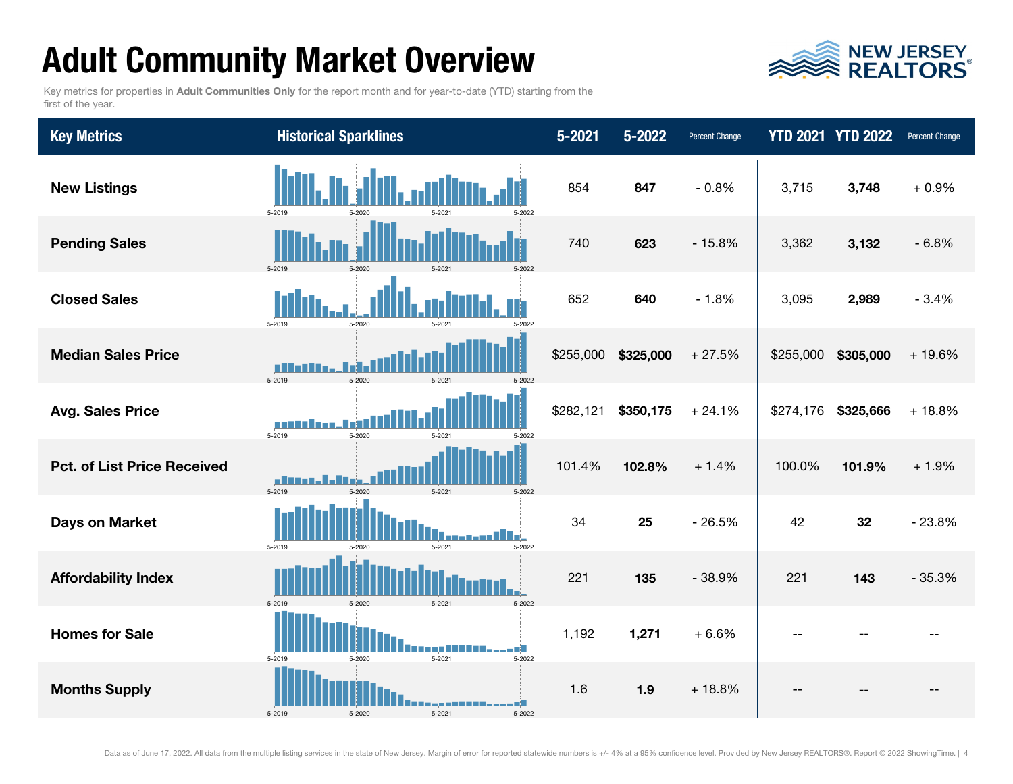## Adult Community Market Overview



Key metrics for properties in Adult Communities Only for the report month and for year-to-date (YTD) starting from the first of the year.

| <b>Key Metrics</b>                 | <b>Historical Sparklines</b>                      | $5 - 2021$ | 5-2022    | <b>Percent Change</b> |           | <b>YTD 2021 YTD 2022</b> | <b>Percent Change</b> |
|------------------------------------|---------------------------------------------------|------------|-----------|-----------------------|-----------|--------------------------|-----------------------|
| <b>New Listings</b>                | 5-2019<br>5-2022                                  | 854        | 847       | $-0.8%$               | 3,715     | 3,748                    | $+0.9%$               |
| <b>Pending Sales</b>               | 5-2019<br>5-2020<br>$5 - 2021$                    | 740        | 623       | $-15.8%$              | 3,362     | 3,132                    | $-6.8%$               |
| <b>Closed Sales</b>                | 5-2019<br>5-2020<br>5-2022<br>5.202               | 652        | 640       | $-1.8%$               | 3,095     | 2,989                    | $-3.4%$               |
| <b>Median Sales Price</b>          | 5-2019<br>$5 - 2020$<br>5-202                     | \$255,000  | \$325,000 | $+27.5%$              | \$255,000 | \$305,000                | $+19.6%$              |
| <b>Avg. Sales Price</b>            | a an a<br>5-2019<br>5-2020<br>$5 - 202$<br>5-2022 | \$282,121  | \$350,175 | $+24.1%$              | \$274,176 | \$325,666                | $+18.8%$              |
| <b>Pct. of List Price Received</b> | 5-2019<br>5-2020<br>5-2021<br>5-2022              | 101.4%     | 102.8%    | $+1.4%$               | 100.0%    | 101.9%                   | $+1.9%$               |
| <b>Days on Market</b>              | 5-2022<br>5-2019<br>5-2021<br>5-2020              | 34         | 25        | $-26.5%$              | 42        | 32                       | $-23.8%$              |
| <b>Affordability Index</b>         | 5-2019<br>5-2020<br>5-2021<br>5-2022              | 221        | 135       | $-38.9%$              | 221       | 143                      | $-35.3%$              |
| <b>Homes for Sale</b>              | 5-2019<br>5-2021<br>5-2020<br>5-2022              | 1,192      | 1,271     | $+6.6%$               |           |                          |                       |
| <b>Months Supply</b>               | Œ.<br>5-2021<br>5-2019<br>5-2020<br>5-2022        | 1.6        | 1.9       | $+18.8%$              |           |                          |                       |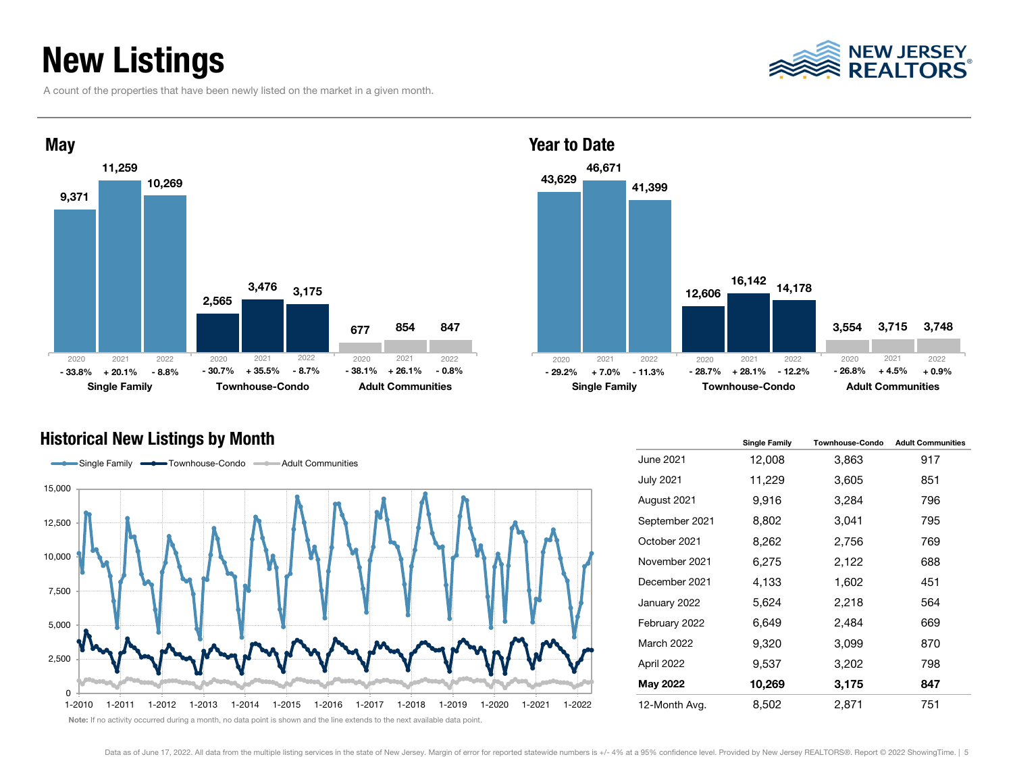### New Listings

A count of the properties that have been newly listed on the market in a given month.



#### Historical New Listings by Month



43,629 12,606 3,554 46,671 16,142 14,178 3,715 41,399 3,748 Single Family **Townhouse-Condo** Adult Communities Year to Date 2021 2022 2020 2021 2022 % + 26.1% -0.8% - 29.2% -r 7.0% -11.3% -28.7% +28.1% -12.2% -26.8% +4.5% -p.9% 2020 2021 2022- 26.8%

|                  | <b>Single Family</b> | Townhouse-Condo | <b>Adult Communities</b> |
|------------------|----------------------|-----------------|--------------------------|
| June 2021        | 12,008               | 3,863           | 917                      |
| <b>July 2021</b> | 11,229               | 3,605           | 851                      |
| August 2021      | 9,916                | 3,284           | 796                      |
| September 2021   | 8,802                | 3,041           | 795                      |
| October 2021     | 8,262                | 2,756           | 769                      |
| November 2021    | 6,275                | 2,122           | 688                      |
| December 2021    | 4,133                | 1,602           | 451                      |
| January 2022     | 5,624                | 2,218           | 564                      |
| February 2022    | 6,649                | 2,484           | 669                      |
| March 2022       | 9,320                | 3,099           | 870                      |
| April 2022       | 9,537                | 3,202           | 798                      |
| May 2022         | 10,269               | 3,175           | 847                      |
| 12-Month Avg.    | 8,502                | 2,871           | 751                      |

### NEW JERSEY<br>REALTORS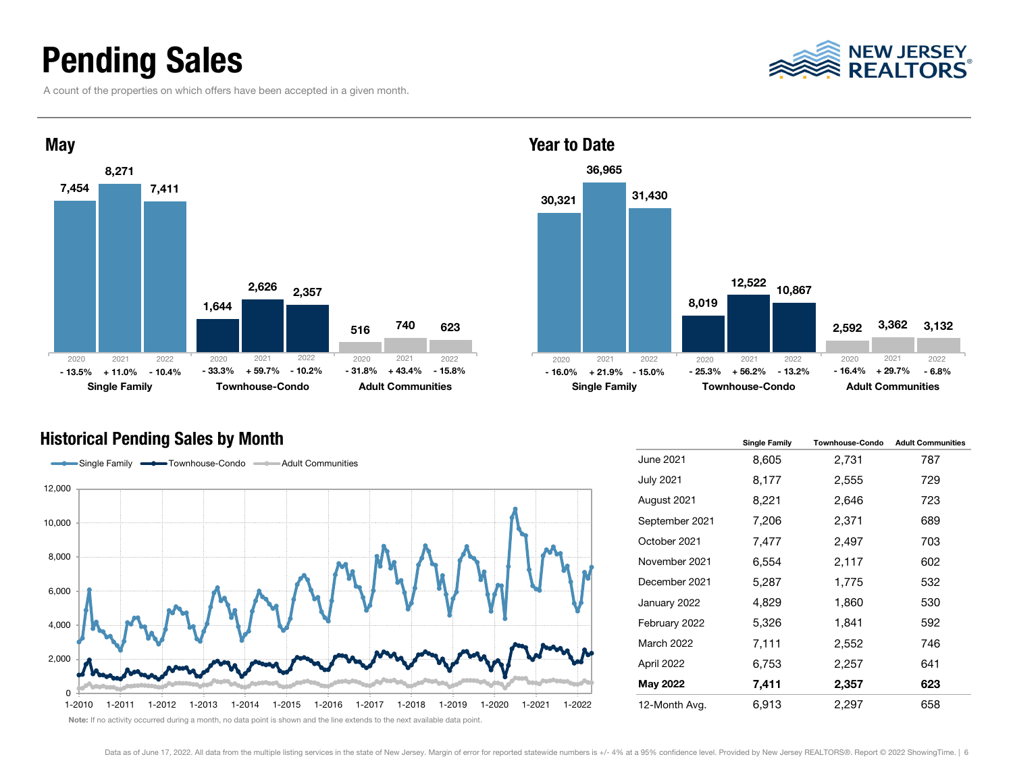### Pending Sales

A count of the properties on which offers have been accepted in a given month.



#### Historical Pending Sales by Month



30,321 8,019 2,592 36,965 12,522 3,362 31,430 10,867 3,132 Single Family **Townhouse-Condo** Adult Communities % +11.0% -10.4% -33.3% + 59.7% - 10.2% - 31.8% + 43.4% - 15.8% - 16.0% + 21.9% - 15.0% - 25.3% + 56.2% - 13.2% - 16.4% + 29.7% - 6.8% 2021 2022 2020 2021 2022 2020 2021 2022- 16.4%

|                  | <b>Single Family</b> | <b>Townhouse-Condo</b> | <b>Adult Communities</b> |
|------------------|----------------------|------------------------|--------------------------|
| June 2021        | 8,605                | 2,731                  | 787                      |
| <b>July 2021</b> | 8,177                | 2,555                  | 729                      |
| August 2021      | 8,221                | 2,646                  | 723                      |
| September 2021   | 7,206                | 2,371                  | 689                      |
| October 2021     | 7,477                | 2,497                  | 703                      |
| November 2021    | 6,554                | 2,117                  | 602                      |
| December 2021    | 5,287                | 1,775                  | 532                      |
| January 2022     | 4,829                | 1,860                  | 530                      |
| February 2022    | 5,326                | 1,841                  | 592                      |
| March 2022       | 7,111                | 2,552                  | 746                      |
| April 2022       | 6,753                | 2,257                  | 641                      |
| May 2022         | 7,411                | 2,357                  | 623                      |
| 12-Month Avg.    | 6,913                | 2,297                  | 658                      |

### **NEW JERSEY<br>REALTORS**

Year to Date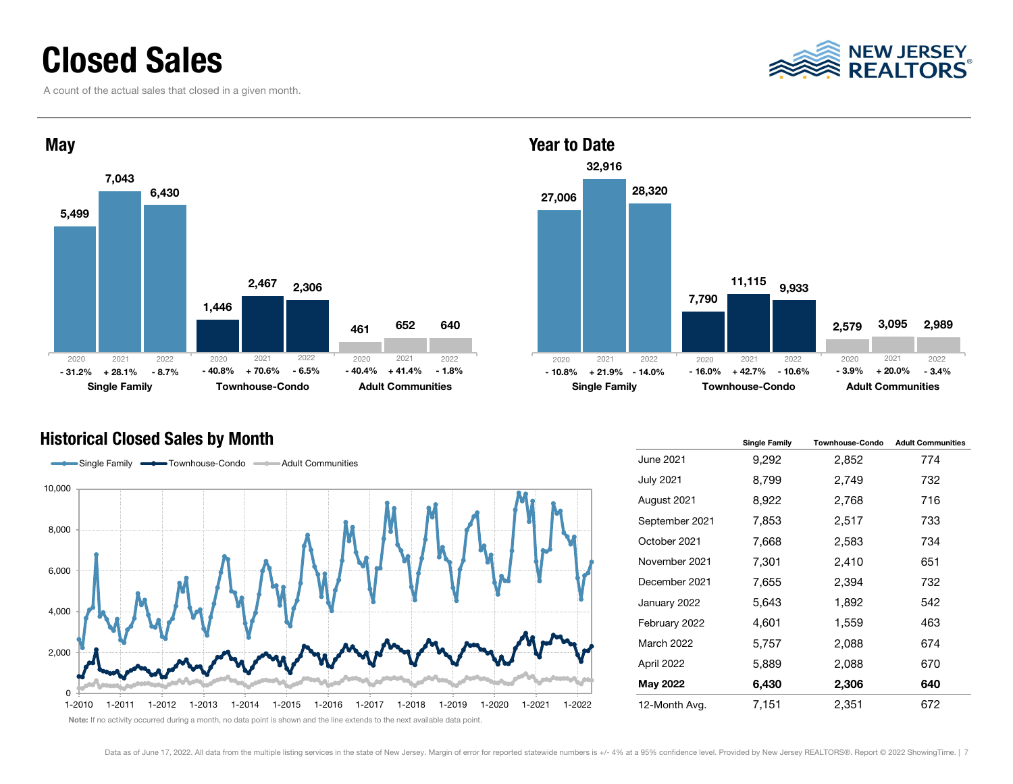### Closed Sales

A count of the actual sales that closed in a given month.





#### Historical Closed Sales by Month



27,006 7,790 2,579 32,916 11,115 9,933 3,095 28,320 2,989 Single Family **Townhouse-Condo** Adult Communities 2021 2022 2020 2021 2022 2020 2021 2022- 3.9%

|                   | <b>Single Family</b> | <b>Townhouse-Condo</b> | <b>Adult Communities</b> |
|-------------------|----------------------|------------------------|--------------------------|
| <b>June 2021</b>  | 9,292                | 2,852                  | 774                      |
| July 2021         | 8,799                | 2,749                  | 732                      |
| August 2021       | 8,922                | 2,768                  | 716                      |
| September 2021    | 7,853                | 2,517                  | 733                      |
| October 2021      | 7,668                | 2,583                  | 734                      |
| November 2021     | 7,301                | 2,410                  | 651                      |
| December 2021     | 7,655                | 2,394                  | 732                      |
| January 2022      | 5,643                | 1,892                  | 542                      |
| February 2022     | 4,601                | 1,559                  | 463                      |
| <b>March 2022</b> | 5,757                | 2,088                  | 674                      |
| April 2022        | 5,889                | 2,088                  | 670                      |
| May 2022          | 6,430                | 2,306                  | 640                      |
| 12-Month Avg.     | 7,151                | 2,351                  | 672                      |

Note: If no activity occurred during a month, no data point is shown and the line extends to the next available data point.

Year to Date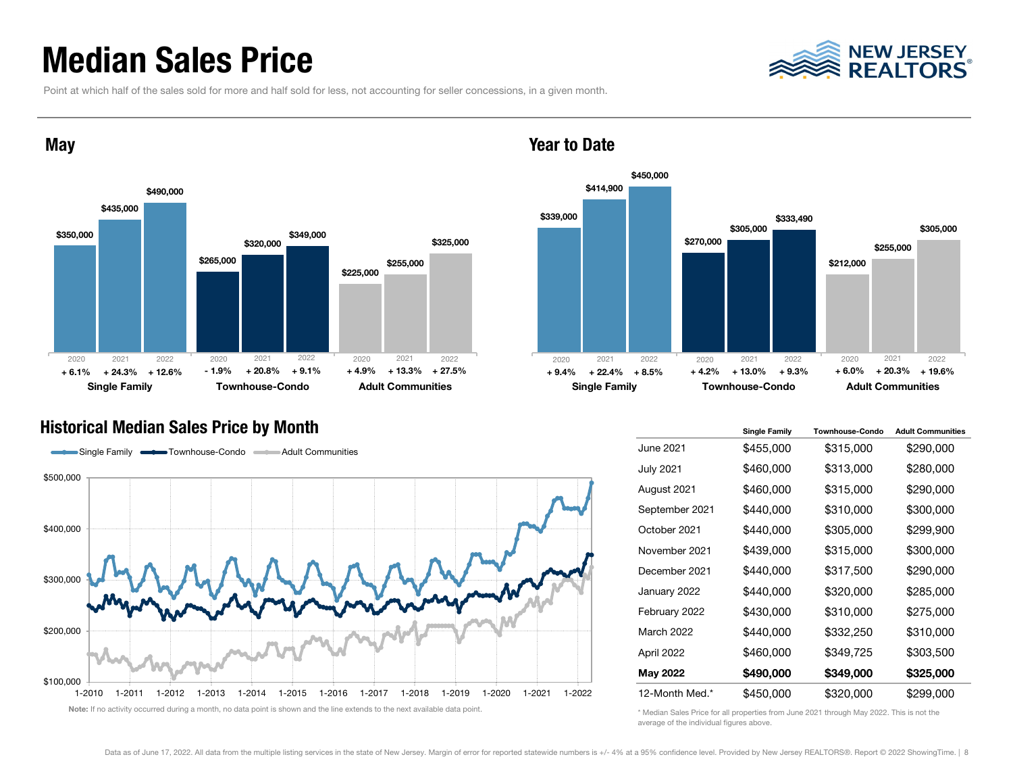### Median Sales Price



Point at which half of the sales sold for more and half sold for less, not accounting for seller concessions, in a given month.



#### Year to Date



#### Historical Median Sales Price by Month



|                  | <b>Single Family</b> | <b>Townhouse-Condo</b> | <b>Adult Communities</b> |
|------------------|----------------------|------------------------|--------------------------|
| June 2021        | \$455,000            | \$315,000              | \$290,000                |
| <b>July 2021</b> | \$460,000            | \$313,000              | \$280,000                |
| August 2021      | \$460,000            | \$315,000              | \$290,000                |
| September 2021   | \$440,000            | \$310,000              | \$300,000                |
| October 2021     | \$440,000            | \$305,000              | \$299,900                |
| November 2021    | \$439,000            | \$315,000              | \$300,000                |
| December 2021    | \$440,000            | \$317,500              | \$290,000                |
| January 2022     | \$440,000            | \$320,000              | \$285,000                |
| February 2022    | \$430,000            | \$310,000              | \$275,000                |
| March 2022       | \$440,000            | \$332,250              | \$310,000                |
| April 2022       | \$460,000            | \$349,725              | \$303,500                |
| May 2022         | \$490,000            | \$349,000              | \$325,000                |
| 12-Month Med.*   | \$450,000            | \$320,000              | \$299,000                |

\* Median Sales Price for all properties from June 2021 through May 2022. This is not the average of the individual figures above.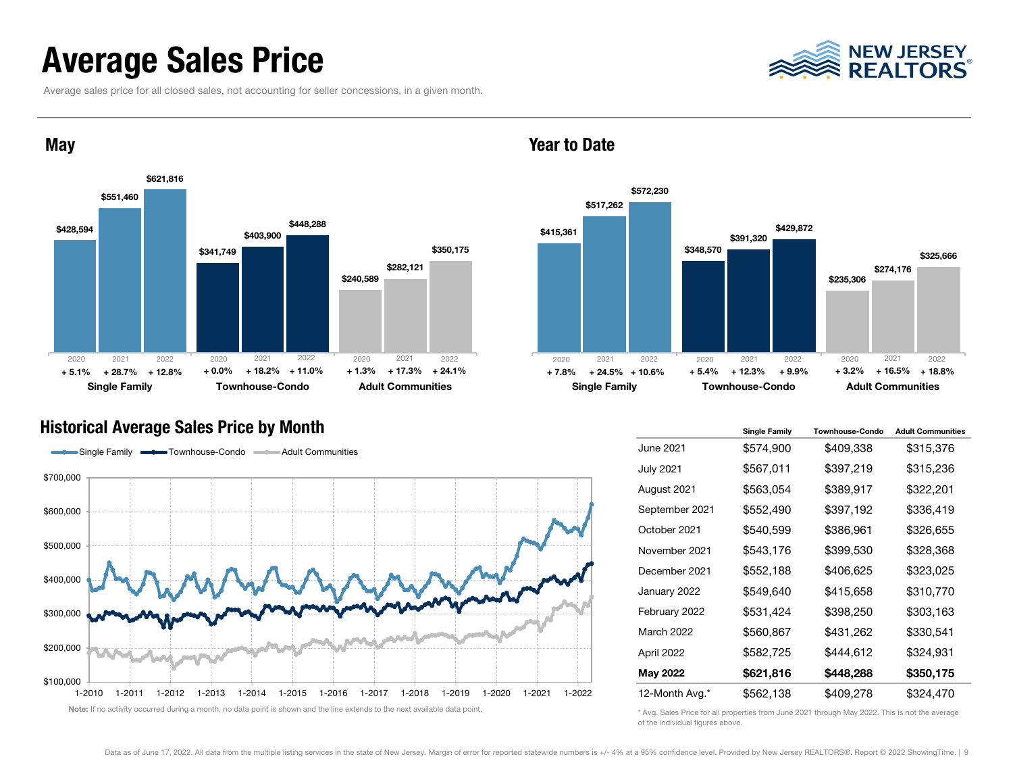### Average Sales Price

Average sales price for all closed sales, not accounting for seller concessions, in a given month.





#### Year to Date



#### Historical Average Sales Price by Month



|                  | <b>Single Family</b> | <b>Townhouse-Condo</b> | <b>Adult Communities</b> |
|------------------|----------------------|------------------------|--------------------------|
| June 2021        | \$574,900            | \$409,338              | \$315,376                |
| <b>July 2021</b> | \$567,011            | \$397,219              | \$315,236                |
| August 2021      | \$563,054            | \$389,917              | \$322,201                |
| September 2021   | \$552,490            | \$397,192              | \$336,419                |
| October 2021     | \$540,599            | \$386,961              | \$326,655                |
| November 2021    | \$543,176            | \$399,530              | \$328,368                |
| December 2021    | \$552,188            | \$406,625              | \$323,025                |
| January 2022     | \$549,640            | \$415,658              | \$310,770                |
| February 2022    | \$531,424            | \$398,250              | \$303,163                |
| March 2022       | \$560,867            | \$431,262              | \$330,541                |
| April 2022       | \$582,725            | \$444,612              | \$324,931                |
| May 2022         | \$621,816            | \$448,288              | \$350,175                |
| 12-Month Avg.*   | \$562,138            | \$409,278              | \$324,470                |

\* Avg. Sales Price for all properties from June 2021 through May 2022. This is not the average of the individual figures above.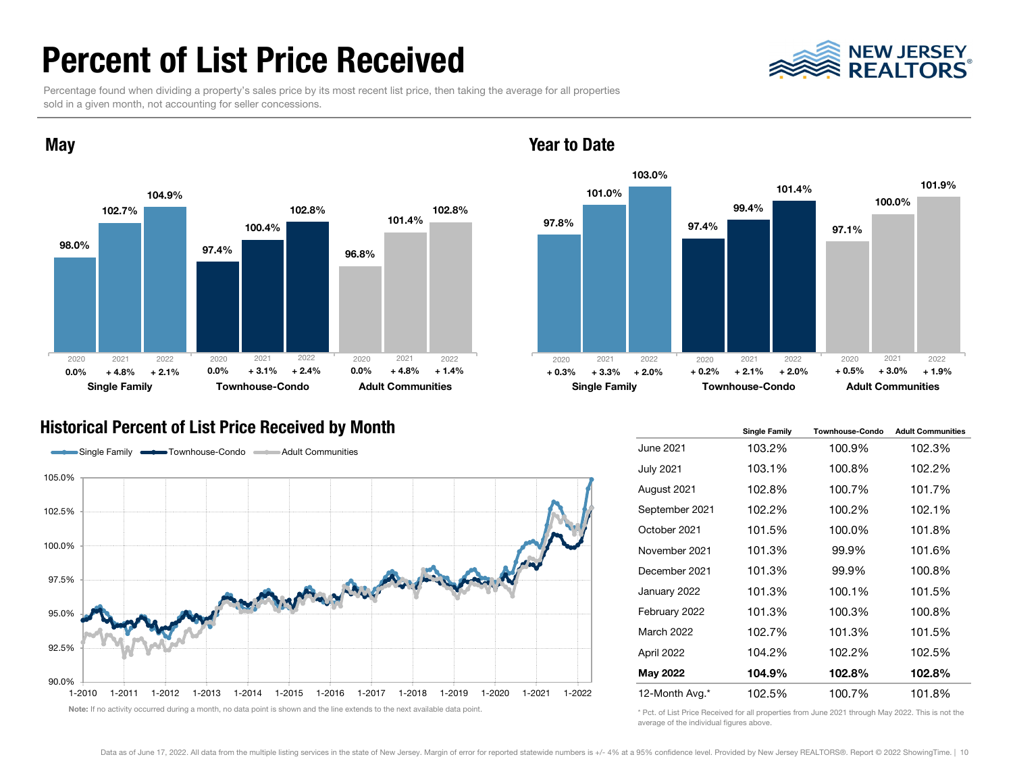### Percent of List Price Received



Percentage found when dividing a property's sales price by its most recent list price, then taking the average for all properties sold in a given month, not accounting for seller concessions.



#### Year to Date



#### Historical Percent of List Price Received by Month



|                  | <b>Single Family</b> | Townhouse-Condo | <b>Adult Communities</b> |
|------------------|----------------------|-----------------|--------------------------|
| June 2021        | 103.2%               | 100.9%          | 102.3%                   |
| <b>July 2021</b> | 103.1%               | 100.8%          | 102.2%                   |
| August 2021      | 102.8%               | 100.7%          | 101.7%                   |
| September 2021   | 102.2%               | 100.2%          | 102.1%                   |
| October 2021     | 101.5%               | 100.0%          | 101.8%                   |
| November 2021    | 101.3%               | 99.9%           | 101.6%                   |
| December 2021    | 101.3%               | 99.9%           | 100.8%                   |
| January 2022     | 101.3%               | 100.1%          | 101.5%                   |
| February 2022    | 101.3%               | 100.3%          | 100.8%                   |
| March 2022       | 102.7%               | 101.3%          | 101.5%                   |
| April 2022       | 104.2%               | 102.2%          | 102.5%                   |
| May 2022         | 104.9%               | 102.8%          | 102.8%                   |
| 12-Month Avg.*   | 102.5%               | 100.7%          | 101.8%                   |

\* Pct. of List Price Received for all properties from June 2021 through May 2022. This is not the average of the individual figures above.

#### **May**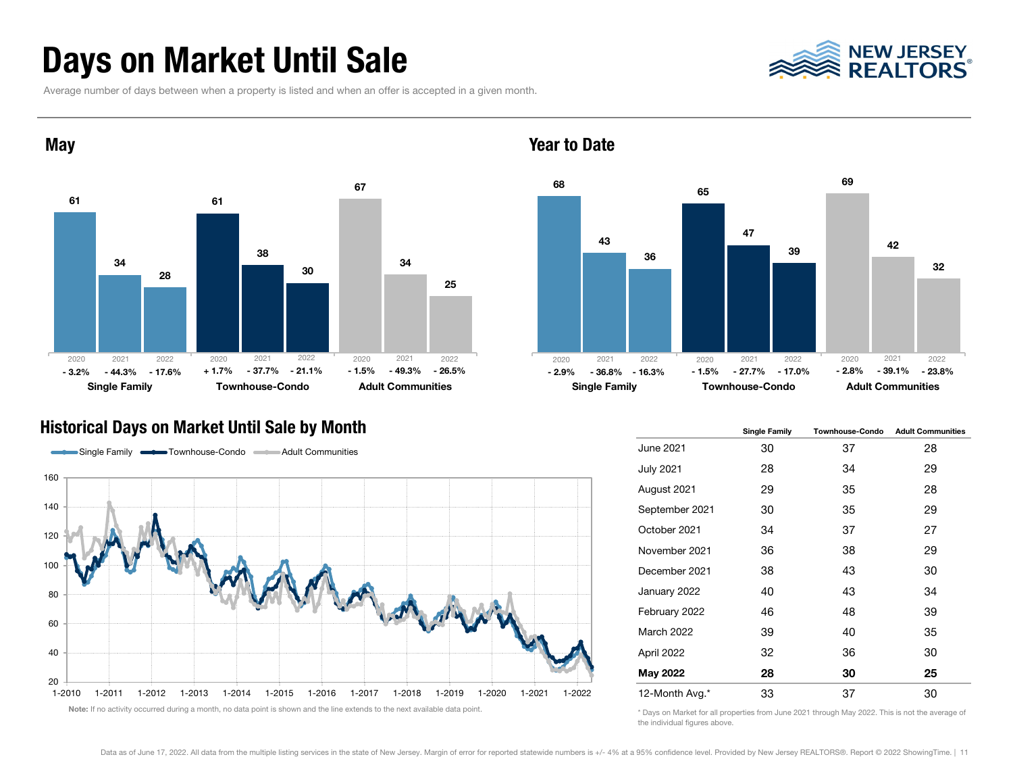### Days on Market Until Sale

Average number of days between when a property is listed and when an offer is accepted in a given month.





#### Year to Date



#### Historical Days on Market Until Sale by Month



|                | <b>Single Family</b> | <b>Townhouse-Condo</b> | <b>Adult Communities</b> |
|----------------|----------------------|------------------------|--------------------------|
| June 2021      | 30                   | 37                     | 28                       |
| July 2021      | 28                   | 34                     | 29                       |
| August 2021    | 29                   | 35                     | 28                       |
| September 2021 | 30                   | 35                     | 29                       |
| October 2021   | 34                   | 37                     | 27                       |
| November 2021  | 36                   | 38                     | 29                       |
| December 2021  | 38                   | 43                     | 30                       |
| January 2022   | 40                   | 43                     | 34                       |
| February 2022  | 46                   | 48                     | 39                       |
| March 2022     | 39                   | 40                     | 35                       |
| April 2022     | 32                   | 36                     | 30                       |
| May 2022       | 28                   | 30                     | 25                       |
| 12-Month Avg.* | 33                   | 37                     | 30                       |

\* Days on Market for all properties from June 2021 through May 2022. This is not the average of the individual figures above.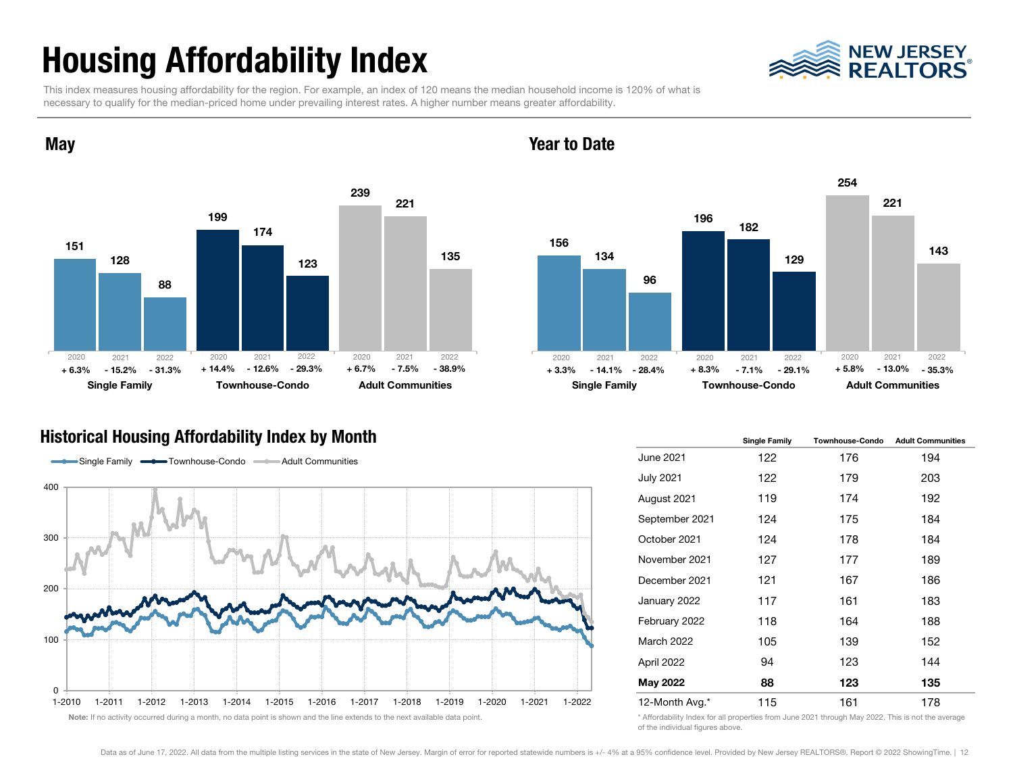## Housing Affordability Index

**May** 



This index measures housing affordability for the region. For example, an index of 120 means the median household income is 120% of what is necessary to qualify for the median-priced home under prevailing interest rates. A higher number means greater affordability.



### Year to Date



#### Historical Housing Affordability Index by Month



|                  | <b>Single Family</b> | <b>Townhouse-Condo</b> | <b>Adult Communities</b> |  |
|------------------|----------------------|------------------------|--------------------------|--|
| June 2021        | 122                  | 176                    | 194                      |  |
| <b>July 2021</b> | 122                  | 179                    | 203                      |  |
| August 2021      | 119                  | 174                    | 192                      |  |
| September 2021   | 124                  | 175                    | 184                      |  |
| October 2021     | 124                  | 178                    | 184                      |  |
| November 2021    | 127                  | 177                    | 189                      |  |
| December 2021    | 121                  | 167                    | 186                      |  |
| January 2022     | 117                  | 161                    | 183                      |  |
| February 2022    | 118                  | 164                    | 188                      |  |
| March 2022       | 105                  | 139                    | 152                      |  |
| April 2022       | 94                   | 123                    | 144                      |  |
| May 2022         | 88                   | 123                    | 135                      |  |
| 12-Month Avg.*   | 115                  | 161                    | 178                      |  |

\* Affordability Index for all properties from June 2021 through May 2022. This is not the average of the individual figures above.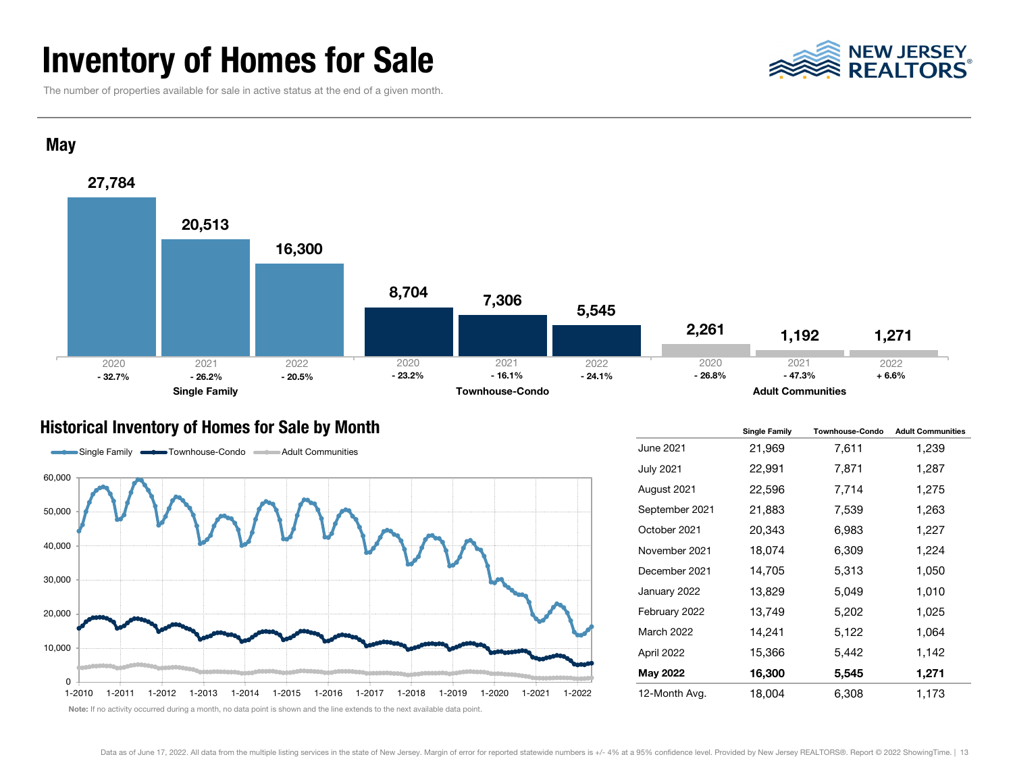### Inventory of Homes for Sale

NEW JERSEY<br>REALTORS

The number of properties available for sale in active status at the end of a given month.



#### Historical Inventory of Homes for Sale by Month



|                   | <b>Single Family</b> | <b>Townhouse-Condo</b> | <b>Adult Communities</b> |  |  |
|-------------------|----------------------|------------------------|--------------------------|--|--|
| June 2021         | 21,969               | 7,611                  | 1,239                    |  |  |
| <b>July 2021</b>  | 22,991               | 7,871                  | 1,287                    |  |  |
| August 2021       | 22,596               | 7,714                  | 1,275                    |  |  |
| September 2021    | 21,883               | 7,539                  | 1,263                    |  |  |
| October 2021      | 20,343               | 6,983                  | 1,227                    |  |  |
| November 2021     | 18,074               | 6,309                  | 1,224                    |  |  |
| December 2021     | 14,705               | 5,313                  | 1,050                    |  |  |
| January 2022      | 13,829               | 5,049                  | 1,010                    |  |  |
| February 2022     | 13,749               | 5,202                  | 1,025                    |  |  |
| <b>March 2022</b> | 14,241               | 5,122                  | 1,064                    |  |  |
| April 2022        | 15,366               | 5,442                  | 1,142                    |  |  |
| May 2022          | 16,300               | 5,545                  | 1,271                    |  |  |
| 12-Month Avg.     | 18,004               | 6,308                  | 1,173                    |  |  |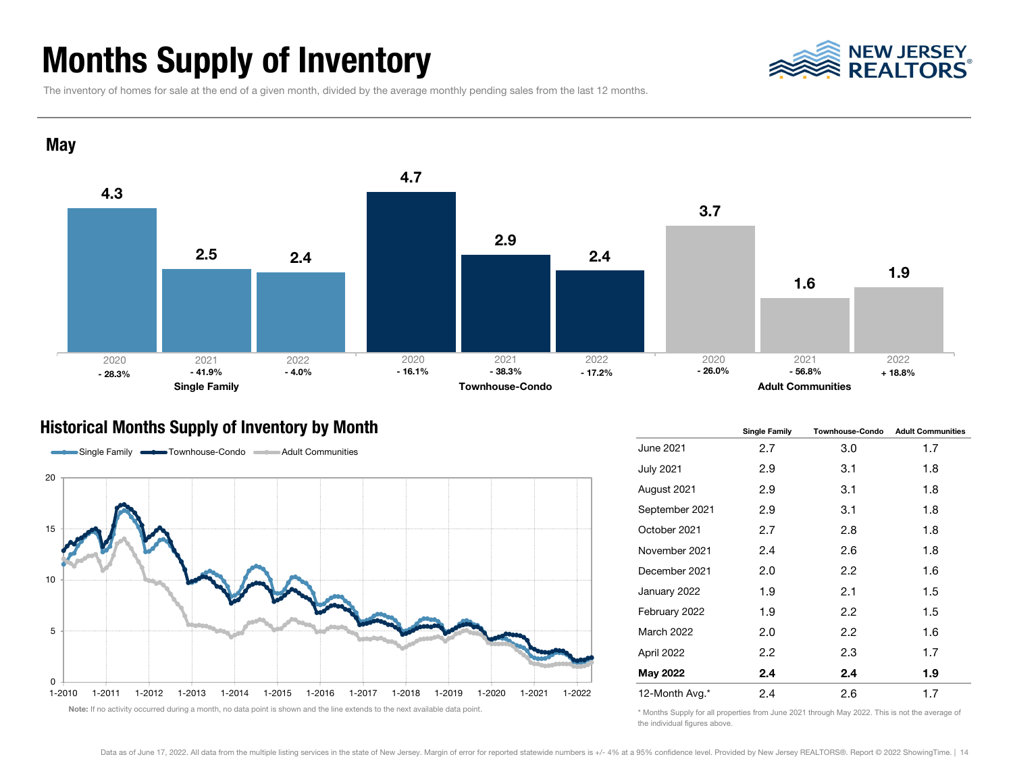### Months Supply of Inventory



The inventory of homes for sale at the end of a given month, divided by the average monthly pending sales from the last 12 months.



#### Historical Months Supply of Inventory by Month



|                   | <b>Single Family</b> | <b>Townhouse-Condo</b> | <b>Adult Communities</b> |  |  |  |
|-------------------|----------------------|------------------------|--------------------------|--|--|--|
| June 2021         | 2.7                  | 3.0                    | 1.7                      |  |  |  |
| July 2021         | 2.9                  | 3.1                    | 1.8                      |  |  |  |
| August 2021       | 2.9                  | 3.1                    | 1.8                      |  |  |  |
| September 2021    | 2.9                  | 3.1                    | 1.8                      |  |  |  |
| October 2021      | 2.7                  | 2.8                    | 1.8                      |  |  |  |
| November 2021     | 2.4                  | 2.6                    | 1.8                      |  |  |  |
| December 2021     | 2.0                  | 2.2                    | 1.6                      |  |  |  |
| January 2022      | 1.9                  | 2.1                    | 1.5                      |  |  |  |
| February 2022     | 1.9                  | 2.2                    | 1.5                      |  |  |  |
| <b>March 2022</b> | 2.0                  | 2.2                    | 1.6                      |  |  |  |
| April 2022        | 2.2                  | 2.3                    | 1.7                      |  |  |  |
| May 2022          | 2.4                  | 2.4                    | 1.9                      |  |  |  |
| 12-Month Avg.*    | 2.4                  | 2.6                    | 1.7                      |  |  |  |

\* Months Supply for all properties from June 2021 through May 2022. This is not the average of the individual figures above.